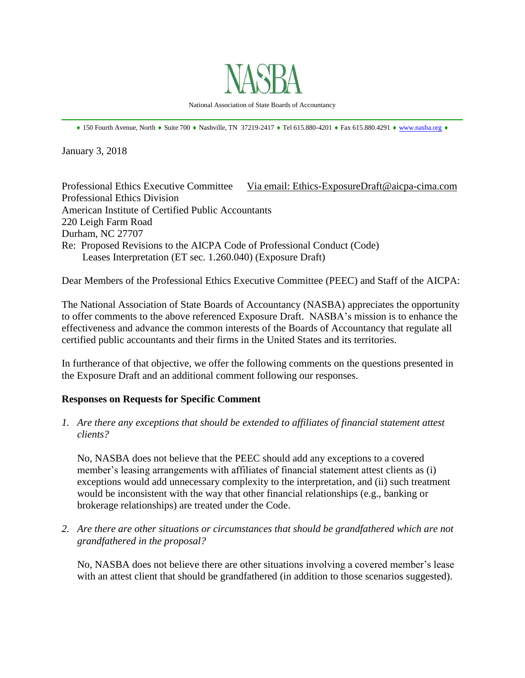

National Association of State Boards of Accountancy \_\_\_\_\_\_\_\_\_\_\_\_\_\_\_\_\_\_\_\_\_\_\_\_\_\_\_\_\_\_\_\_\_\_\_\_\_\_\_\_\_\_\_\_\_\_\_\_\_\_\_\_\_\_\_\_\_\_\_\_\_\_\_\_\_\_\_\_\_\_\_\_\_\_\_\_\_\_

 $*$  150 Fourth Avenue, North  $*$  Suite 700  $*$  Nashville, TN 37219-2417  $*$  Tel 615.880-4201  $*$  Fax 615.880.4291  $*$  [www.nasba.org](http://www.nasba.org/)  $*$ 

January 3, 2018

Professional Ethics Executive Committee Via email: Ethics-ExposureDraft@aicpa-cima.com Professional Ethics Division American Institute of Certified Public Accountants 220 Leigh Farm Road Durham, NC 27707 Re: Proposed Revisions to the AICPA Code of Professional Conduct (Code) Leases Interpretation (ET sec. 1.260.040) (Exposure Draft)

Dear Members of the Professional Ethics Executive Committee (PEEC) and Staff of the AICPA:

The National Association of State Boards of Accountancy (NASBA) appreciates the opportunity to offer comments to the above referenced Exposure Draft. NASBA's mission is to enhance the effectiveness and advance the common interests of the Boards of Accountancy that regulate all certified public accountants and their firms in the United States and its territories.

In furtherance of that objective, we offer the following comments on the questions presented in the Exposure Draft and an additional comment following our responses.

## **Responses on Requests for Specific Comment**

*1. Are there any exceptions that should be extended to affiliates of financial statement attest clients?* 

No, NASBA does not believe that the PEEC should add any exceptions to a covered member's leasing arrangements with affiliates of financial statement attest clients as (i) exceptions would add unnecessary complexity to the interpretation, and (ii) such treatment would be inconsistent with the way that other financial relationships (e.g., banking or brokerage relationships) are treated under the Code.

*2. Are there are other situations or circumstances that should be grandfathered which are not grandfathered in the proposal?* 

No, NASBA does not believe there are other situations involving a covered member's lease with an attest client that should be grandfathered (in addition to those scenarios suggested).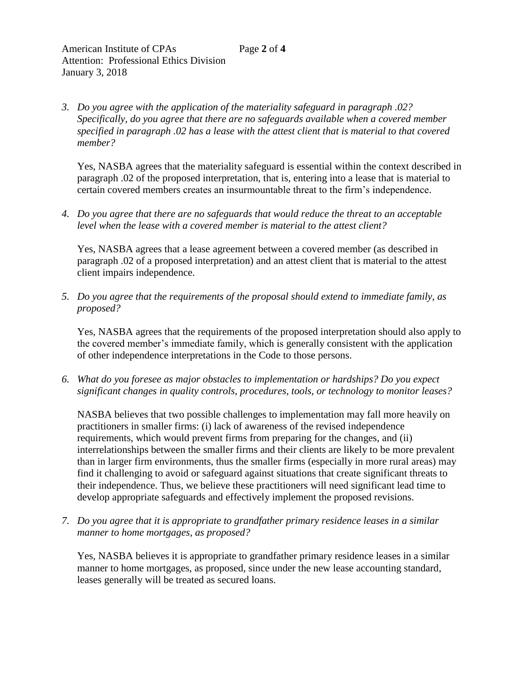*3. Do you agree with the application of the materiality safeguard in paragraph .02? Specifically, do you agree that there are no safeguards available when a covered member specified in paragraph .02 has a lease with the attest client that is material to that covered member?* 

Yes, NASBA agrees that the materiality safeguard is essential within the context described in paragraph .02 of the proposed interpretation, that is, entering into a lease that is material to certain covered members creates an insurmountable threat to the firm's independence.

*4. Do you agree that there are no safeguards that would reduce the threat to an acceptable level when the lease with a covered member is material to the attest client?* 

Yes, NASBA agrees that a lease agreement between a covered member (as described in paragraph .02 of a proposed interpretation) and an attest client that is material to the attest client impairs independence.

*5. Do you agree that the requirements of the proposal should extend to immediate family, as proposed?* 

Yes, NASBA agrees that the requirements of the proposed interpretation should also apply to the covered member's immediate family, which is generally consistent with the application of other independence interpretations in the Code to those persons.

*6. What do you foresee as major obstacles to implementation or hardships? Do you expect significant changes in quality controls, procedures, tools, or technology to monitor leases?* 

NASBA believes that two possible challenges to implementation may fall more heavily on practitioners in smaller firms: (i) lack of awareness of the revised independence requirements, which would prevent firms from preparing for the changes, and (ii) interrelationships between the smaller firms and their clients are likely to be more prevalent than in larger firm environments, thus the smaller firms (especially in more rural areas) may find it challenging to avoid or safeguard against situations that create significant threats to their independence. Thus, we believe these practitioners will need significant lead time to develop appropriate safeguards and effectively implement the proposed revisions.

*7. Do you agree that it is appropriate to grandfather primary residence leases in a similar manner to home mortgages, as proposed?* 

Yes, NASBA believes it is appropriate to grandfather primary residence leases in a similar manner to home mortgages, as proposed, since under the new lease accounting standard, leases generally will be treated as secured loans.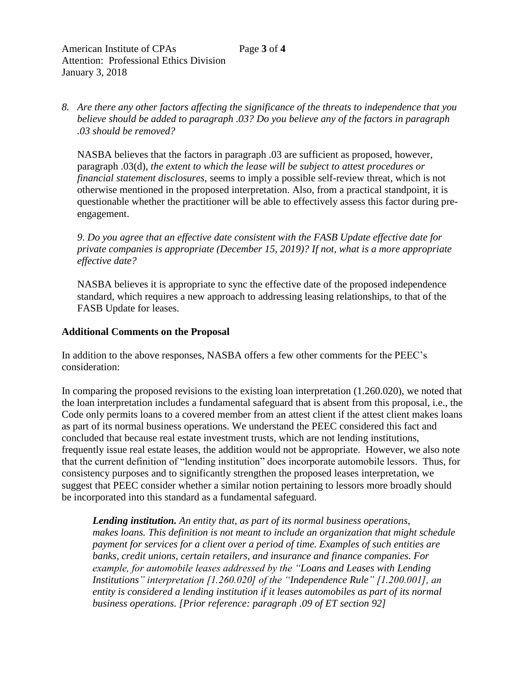*8. Are there any other factors affecting the significance of the threats to independence that you believe should be added to paragraph .03? Do you believe any of the factors in paragraph .03 should be removed?* 

NASBA believes that the factors in paragraph .03 are sufficient as proposed, however, paragraph .03(d), *the extent to which the lease will be subject to attest procedures or financial statement disclosures,* seems to imply a possible self-review threat, which is not otherwise mentioned in the proposed interpretation. Also, from a practical standpoint, it is questionable whether the practitioner will be able to effectively assess this factor during preengagement.

*9*. *Do you agree that an effective date consistent with the FASB Update effective date for private companies is appropriate (December 15, 2019)? If not, what is a more appropriate effective date?* 

NASBA believes it is appropriate to sync the effective date of the proposed independence standard, which requires a new approach to addressing leasing relationships, to that of the FASB Update for leases.

## **Additional Comments on the Proposal**

In addition to the above responses, NASBA offers a few other comments for the PEEC's consideration:

In comparing the proposed revisions to the existing loan interpretation (1.260.020), we noted that the loan interpretation includes a fundamental safeguard that is absent from this proposal, i.e., the Code only permits loans to a covered member from an attest client if the attest client makes loans as part of its normal business operations. We understand the PEEC considered this fact and concluded that because real estate investment trusts, which are not lending institutions, frequently issue real estate leases, the addition would not be appropriate. However, we also note that the current definition of "lending institution" does incorporate automobile lessors. Thus, for consistency purposes and to significantly strengthen the proposed leases interpretation, we suggest that PEEC consider whether a similar notion pertaining to lessors more broadly should be incorporated into this standard as a fundamental safeguard.

*Lending institution. An entity that, as part of its normal business operations, makes loans. This definition is not meant to include an organization that might schedule payment for services for a client over a period of time. Examples of such entities are banks, credit unions, certain retailers, and insurance and finance companies. For example, for automobile leases addressed by the "Loans and Leases with Lending Institutions" interpretation [1.260.020] of the "Independence Rule" [1.200.001], an entity is considered a lending institution if it leases automobiles as part of its normal business operations. [Prior reference: paragraph .09 of ET section 92]*